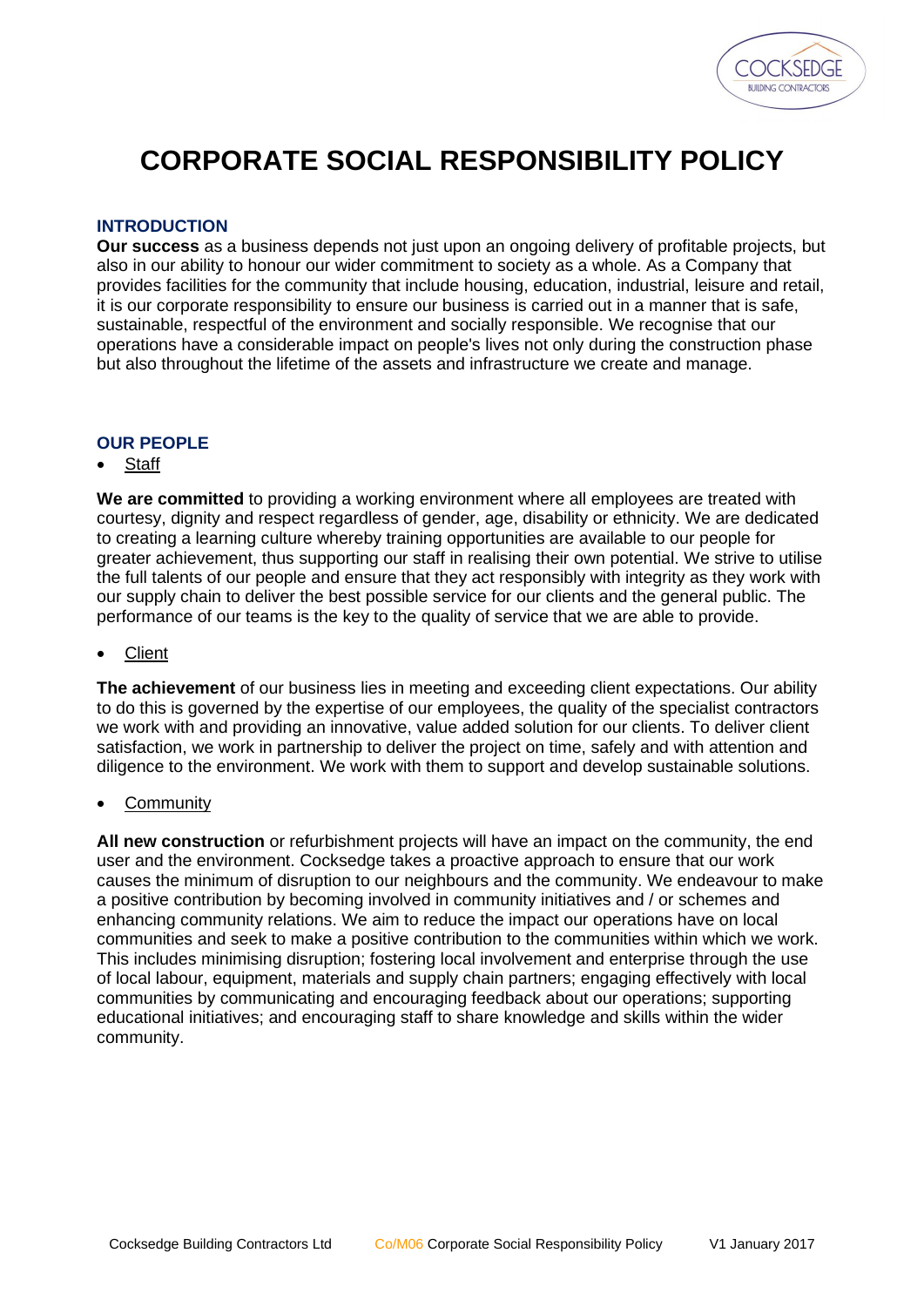

## **CORPORATE SOCIAL RESPONSIBILITY POLICY**

## **INTRODUCTION**

**Our success** as a business depends not just upon an ongoing delivery of profitable projects, but also in our ability to honour our wider commitment to society as a whole. As a Company that provides facilities for the community that include housing, education, industrial, leisure and retail, it is our corporate responsibility to ensure our business is carried out in a manner that is safe, sustainable, respectful of the environment and socially responsible. We recognise that our operations have a considerable impact on people's lives not only during the construction phase but also throughout the lifetime of the assets and infrastructure we create and manage.

## **OUR PEOPLE**

• Staff

**We are committed** to providing a working environment where all employees are treated with courtesy, dignity and respect regardless of gender, age, disability or ethnicity. We are dedicated to creating a learning culture whereby training opportunities are available to our people for greater achievement, thus supporting our staff in realising their own potential. We strive to utilise the full talents of our people and ensure that they act responsibly with integrity as they work with our supply chain to deliver the best possible service for our clients and the general public. The performance of our teams is the key to the quality of service that we are able to provide.

**Client** 

**The achievement** of our business lies in meeting and exceeding client expectations. Our ability to do this is governed by the expertise of our employees, the quality of the specialist contractors we work with and providing an innovative, value added solution for our clients. To deliver client satisfaction, we work in partnership to deliver the project on time, safely and with attention and diligence to the environment. We work with them to support and develop sustainable solutions.

**Community** 

**All new construction** or refurbishment projects will have an impact on the community, the end user and the environment. Cocksedge takes a proactive approach to ensure that our work causes the minimum of disruption to our neighbours and the community. We endeavour to make a positive contribution by becoming involved in community initiatives and / or schemes and enhancing community relations. We aim to reduce the impact our operations have on local communities and seek to make a positive contribution to the communities within which we work. This includes minimising disruption; fostering local involvement and enterprise through the use of local labour, equipment, materials and supply chain partners; engaging effectively with local communities by communicating and encouraging feedback about our operations; supporting educational initiatives; and encouraging staff to share knowledge and skills within the wider community.